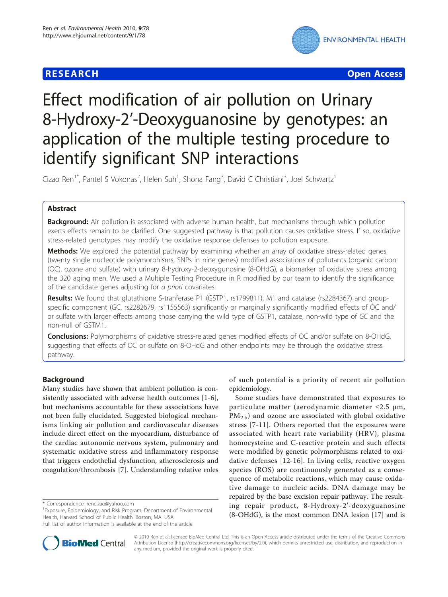## **RESEARCH CONTROL** CONTROL CONTROL CONTROL CONTROL CONTROL CONTROL CONTROL CONTROL CONTROL CONTROL CONTROL CONTROL



# Effect modification of air pollution on Urinary 8-Hydroxy-2'-Deoxyguanosine by genotypes: an application of the multiple testing procedure to identify significant SNP interactions

Cizao Ren<sup>1\*</sup>, Pantel S Vokonas<sup>2</sup>, Helen Suh<sup>1</sup>, Shona Fang<sup>3</sup>, David C Christiani<sup>3</sup>, Joel Schwartz<sup>1</sup>

## Abstract

**Background:** Air pollution is associated with adverse human health, but mechanisms through which pollution exerts effects remain to be clarified. One suggested pathway is that pollution causes oxidative stress. If so, oxidative stress-related genotypes may modify the oxidative response defenses to pollution exposure.

Methods: We explored the potential pathway by examining whether an array of oxidative stress-related genes (twenty single nucleotide polymorphisms, SNPs in nine genes) modified associations of pollutants (organic carbon (OC), ozone and sulfate) with urinary 8-hydroxy-2-deoxygunosine (8-OHdG), a biomarker of oxidative stress among the 320 aging men. We used a Multiple Testing Procedure in R modified by our team to identify the significance of the candidate genes adjusting for a priori covariates.

Results: We found that glutathione S-tranferase P1 (GSTP1, rs1799811), M1 and catalase (rs2284367) and groupspecific component (GC, rs2282679, rs1155563) significantly or marginally significantly modified effects of OC and/ or sulfate with larger effects among those carrying the wild type of GSTP1, catalase, non-wild type of GC and the non-null of GSTM1.

**Conclusions:** Polymorphisms of oxidative stress-related genes modified effects of OC and/or sulfate on 8-OHdG, suggesting that effects of OC or sulfate on 8-OHdG and other endpoints may be through the oxidative stress pathway.

## Background

Many studies have shown that ambient pollution is consistently associated with adverse health outcomes [[1](#page-7-0)-[6](#page-7-0)], but mechanisms accountable for these associations have not been fully elucidated. Suggested biological mechanisms linking air pollution and cardiovascular diseases include direct effect on the myocardium, disturbance of the cardiac autonomic nervous system, pulmonary and systematic oxidative stress and inflammatory response that triggers endothelial dysfunction, atherosclerosis and coagulation/thrombosis [\[7\]](#page-7-0). Understanding relative roles

of such potential is a priority of recent air pollution epidemiology.

Some studies have demonstrated that exposures to particulate matter (aerodynamic diameter ≤2.5 μm,  $PM_{2.5}$ ) and ozone are associated with global oxidative stress [\[7](#page-7-0)-[11](#page-7-0)]. Others reported that the exposures were associated with heart rate variability (HRV), plasma homocysteine and C-reactive protein and such effects were modified by genetic polymorphisms related to oxidative defenses [[12-16\]](#page-7-0). In living cells, reactive oxygen species (ROS) are continuously generated as a consequence of metabolic reactions, which may cause oxidative damage to nucleic acids. DNA damage may be repaired by the base excision repair pathway. The resulting repair product, 8-Hydroxy-2'-deoxyguanosine (8-OHdG), is the most common DNA lesion [\[17](#page-7-0)] and is



© 2010 Ren et al; licensee BioMed Central Ltd. This is an Open Access article distributed under the terms of the Creative Commons Attribution License [\(http://creativecommons.org/licenses/by/2.0](http://creativecommons.org/licenses/by/2.0)), which permits unrestricted use, distribution, and reproduction in any medium, provided the original work is properly cited.

<sup>\*</sup> Correspondence: [rencizao@yahoo.com](mailto:rencizao@yahoo.com)

<sup>&</sup>lt;sup>1</sup> Exposure, Epidemiology, and Risk Program, Department of Environmental Health, Harvard School of Public Health. Boston, MA. USA

Full list of author information is available at the end of the article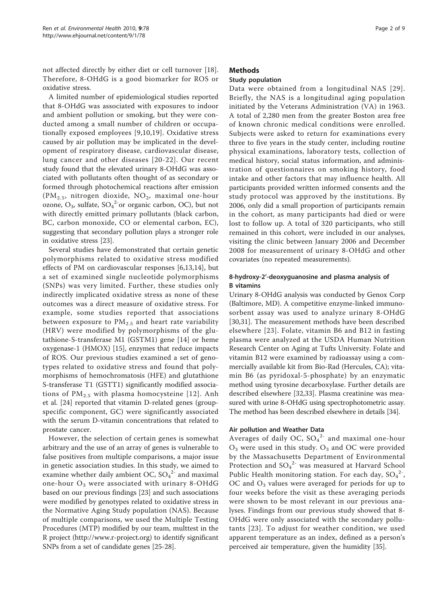not affected directly by either diet or cell turnover [\[18](#page-7-0)]. Therefore, 8-OHdG is a good biomarker for ROS or oxidative stress.

A limited number of epidemiological studies reported that 8-OHdG was associated with exposures to indoor and ambient pollution or smoking, but they were conducted among a small number of children or occupationally exposed employees [[9](#page-7-0),[10,19](#page-7-0)]. Oxidative stress caused by air pollution may be implicated in the development of respiratory disease, cardiovascular disease, lung cancer and other diseases [[20](#page-7-0)-[22\]](#page-7-0). Our recent study found that the elevated urinary 8-OHdG was associated with pollutants often thought of as secondary or formed through photochemical reactions after emission (PM<sub>2.5</sub>, nitrogen dioxide, NO<sub>2</sub>, maximal one-hour ozone,  $O_3$ , sulfate,  $SO_4^2$ <sup>-</sup>or organic carbon, OC), but not with directly emitted primary pollutants (black carbon, BC, carbon monoxide, CO or elemental carbon, EC), suggesting that secondary pollution plays a stronger role in oxidative stress [[23](#page-7-0)].

Several studies have demonstrated that certain genetic polymorphisms related to oxidative stress modified effects of PM on cardiovascular responses [[6,13,14](#page-7-0)], but a set of examined single nucleotide polymorphisms (SNPs) was very limited. Further, these studies only indirectly implicated oxidative stress as none of these outcomes was a direct measure of oxidative stress. For example, some studies reported that associations between exposure to  $PM_{2.5}$  and heart rate variability (HRV) were modified by polymorphisms of the glutathione-S-transferase M1 (GSTM1) gene [[14\]](#page-7-0) or heme oxygenase-1 (HMOX) [\[15\]](#page-7-0), enzymes that reduce impacts of ROS. Our previous studies examined a set of genotypes related to oxidative stress and found that polymorphisms of hemochromatosis (HFE) and glutathione S-transferase T1 (GSTT1) significantly modified associations of  $PM_{2.5}$  with plasma homocysteine [[12](#page-7-0)]. Anh et al. [\[24](#page-7-0)] reported that vitamin D-related genes (groupspecific component, GC) were significantly associated with the serum D-vitamin concentrations that related to prostate cancer.

However, the selection of certain genes is somewhat arbitrary and the use of an array of genes is vulnerable to false positives from multiple comparisons, a major issue in genetic association studies. In this study, we aimed to examine whether daily ambient OC,  $SO_4^2$  and maximal one-hour  $O_3$  were associated with urinary 8-OHdG based on our previous findings [[23](#page-7-0)] and such associations were modified by genotypes related to oxidative stress in the Normative Aging Study population (NAS). Because of multiple comparisons, we used the Multiple Testing Procedures (MTP) modified by our team, multtest in the R project [\(http://www.r-project.org](http://www.r-project.org)) to identify significant SNPs from a set of candidate genes [\[25](#page-7-0)-[28\]](#page-7-0).

## Methods

## Study population

Data were obtained from a longitudinal NAS [[29\]](#page-7-0). Briefly, the NAS is a longitudinal aging population initiated by the Veterans Administration (VA) in 1963. A total of 2,280 men from the greater Boston area free of known chronic medical conditions were enrolled. Subjects were asked to return for examinations every three to five years in the study center, including routine physical examinations, laboratory tests, collection of medical history, social status information, and administration of questionnaires on smoking history, food intake and other factors that may influence health. All participants provided written informed consents and the study protocol was approved by the institutions. By 2006, only did a small proportion of participants remain in the cohort, as many participants had died or were lost to follow up. A total of 320 participants, who still remained in this cohort, were included in our analyses, visiting the clinic between January 2006 and December 2008 for measurement of urinary 8-OHdG and other covariates (no repeated measurements).

## 8-hydroxy-2'-deoxyguanosine and plasma analysis of B vitamins

Urinary 8-OHdG analysis was conducted by Genox Corp (Baltimore, MD). A competitive enzyme-linked immunosorbent assay was used to analyze urinary 8-OHdG [[30,31\]](#page-7-0). The measurement methods have been described elsewhere [[23](#page-7-0)]. Folate, vitamin B6 and B12 in fasting plasma were analyzed at the USDA Human Nutrition Research Center on Aging at Tufts University. Folate and vitamin B12 were examined by radioassay using a commercially available kit from Bio-Rad (Hercules, CA); vitamin B6 (as pyridoxal-5-phosphate) by an enzymatic method using tyrosine decarboxylase. Further details are described elsewhere [\[32](#page-7-0)[,33](#page-8-0)]. Plasma creatinine was measured with urine 8-OHdG using spectrophotometric assay. The method has been described elsewhere in details [\[34](#page-8-0)].

### Air pollution and Weather Data

Averages of daily OC,  $SO_4^2$  and maximal one-hour  $O_3$  were used in this study.  $O_3$  and OC were provided by the Massachusetts Department of Environmental Protection and  $SO_4^2$ <sup>-</sup> was measured at Harvard School Public Health monitoring station. For each day,  $SO_4^2$ , OC and  $O_3$  values were averaged for periods for up to four weeks before the visit as these averaging periods were shown to be most relevant in our previous analyses. Findings from our previous study showed that 8- OHdG were only associated with the secondary pollutants [[23](#page-7-0)]. To adjust for weather condition, we used apparent temperature as an index, defined as a person's perceived air temperature, given the humidity [\[35\]](#page-8-0).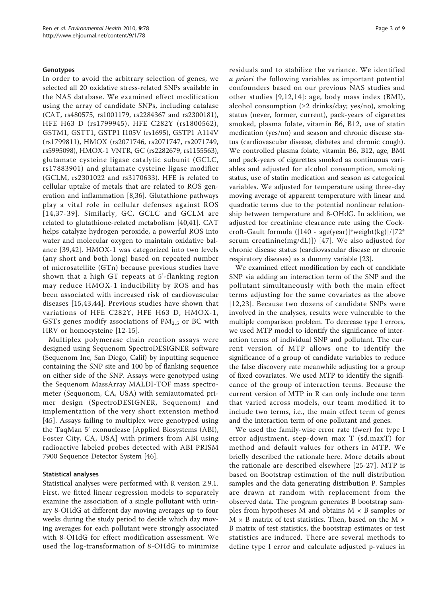### Genotypes

In order to avoid the arbitrary selection of genes, we selected all 20 oxidative stress-related SNPs available in the NAS database. We examined effect modification using the array of candidate SNPs, including catalase (CAT, rs480575, rs1001179, rs2284367 and rs2300181), HFE H63 D (rs1799945), HFE C282Y (rs1800562), GSTM1, GSTT1, GSTP1 I105V (rs1695), GSTP1 A114V (rs1799811), HMOX (rs2071746, rs2071747, rs2071749, rs5995098), HMOX-1 VNTR, GC (rs2282679, rs1155563), glutamate cysteine ligase catalytic subunit (GCLC, rs17883901) and glutamate cysteine ligase modifier (GCLM, rs2301022 and rs3170633). HFE is related to cellular uptake of metals that are related to ROS generation and inflammation [[8](#page-7-0)[,36](#page-8-0)]. Glutathione pathways play a vital role in cellular defenses against ROS [[14](#page-7-0),[37](#page-8-0)-[39](#page-8-0)]. Similarly, GC, GCLC and GCLM are related to glutathione-related metabolism [[40,41](#page-8-0)]. CAT helps catalyze hydrogen peroxide, a powerful ROS into water and molecular oxygen to maintain oxidative balance [[39,42](#page-8-0)]. HMOX-1 was categorized into two levels (any short and both long) based on repeated number of microsatellite (GTn) because previous studies have shown that a high GT repeats at 5'-flanking region may reduce HMOX-1 inducibility by ROS and has been associated with increased risk of cardiovascular diseases [\[15,](#page-7-0)[43,44](#page-8-0)]. Previous studies have shown that variations of HFE C282Y, HFE H63 D, HMOX-1, GSTs genes modify associations of  $PM<sub>2.5</sub>$  or BC with HRV or homocysteine [[12-15](#page-7-0)].

Multiplex polymerase chain reaction assays were designed using Sequenom SpectroDESIGNER software (Sequenom Inc, San Diego, Calif) by inputting sequence containing the SNP site and 100 bp of flanking sequence on either side of the SNP. Assays were genotyped using the Sequenom MassArray MALDI-TOF mass spectrometer (Sequonom, CA, USA) with semiautomated primer design (SpectroDESIGNER, Sequenom) and implementation of the very short extension method [[45](#page-8-0)]. Assays failing to multiplex were genotyped using the TaqMan 5' exonuclease [Applied Biosystems (ABI), Foster City, CA, USA] with primers from ABI using radioactive labeled probes detected with ABI PRISM 7900 Sequence Detector System [[46\]](#page-8-0).

### Statistical analyses

Statistical analyses were performed with R version 2.9.1. First, we fitted linear regression models to separately examine the association of a single pollutant with urinary 8-OHdG at different day moving averages up to four weeks during the study period to decide which day moving averages for each pollutant were strongly associated with 8-OHdG for effect modification assessment. We used the log-transformation of 8-OHdG to minimize residuals and to stabilize the variance. We identified a priori the following variables as important potential confounders based on our previous NAS studies and other studies [[9](#page-7-0),[12](#page-7-0),[14](#page-7-0)]: age, body mass index (BMI), alcohol consumption (≥2 drinks/day; yes/no), smoking status (never, former, current), pack-years of cigarettes smoked, plasma folate, vitamin B6, B12, use of statin medication (yes/no) and season and chronic disease status (cardiovascular disease, diabetes and chronic cough). We controlled plasma folate, vitamin B6, B12, age, BMI and pack-years of cigarettes smoked as continuous variables and adjusted for alcohol consumption, smoking status, use of statin medication and season as categorical variables. We adjusted for temperature using three-day moving average of apparent temperature with linear and quadratic terms due to the potential nonlinear relationship between temperature and 8-OHdG. In addition, we adjusted for creatinine clearance rate using the Cockcroft-Gault formula ([140 - age(year)]\*weight(kg)]/[72\* serum creatinine(mg/dL)]) [[47](#page-8-0)]. We also adjusted for chronic disease status (cardiovascular disease or chronic respiratory diseases) as a dummy variable [[23](#page-7-0)].

We examined effect modification by each of candidate SNP via adding an interaction term of the SNP and the pollutant simultaneously with both the main effect terms adjusting for the same covariates as the above [[12,23\]](#page-7-0). Because two dozens of candidate SNPs were involved in the analyses, results were vulnerable to the multiple comparison problem. To decrease type I errors, we used MTP model to identify the significance of interaction terms of individual SNP and pollutant. The current version of MTP allows one to identify the significance of a group of candidate variables to reduce the false discovery rate meanwhile adjusting for a group of fixed covariates. We used MTP to identify the significance of the group of interaction terms. Because the current version of MTP in R can only include one term that varied across models, our team modified it to include two terms, i.e., the main effect term of genes and the interaction term of one pollutant and genes.

We used the family-wise error rate (fwer) for type I error adjustment, step-down max T (sd.maxT) for method and default values for others in MTP. We briefly described the rationale here. More details about the rationale are described elsewhere [[25](#page-7-0)-[27](#page-7-0)]. MTP is based on Bootstrap estimation of the null distribution samples and the data generating distribution P. Samples are drawn at random with replacement from the observed data. The program generates B bootstrap samples from hypotheses M and obtains  $M \times B$  samples or  $M \times B$  matrix of test statistics. Then, based on the M  $\times$ B matrix of test statistics, the bootstrap estimates or test statistics are induced. There are several methods to define type I error and calculate adjusted p-values in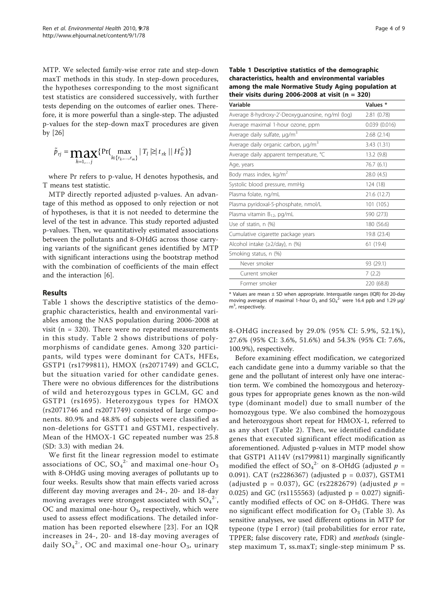MTP. We selected family-wise error rate and step-down maxT methods in this study. In step-down procedures, the hypotheses corresponding to the most significant test statistics are considered successively, with further tests depending on the outcomes of earlier ones. Therefore, it is more powerful than a single-step. The adjusted p-values for the step-down maxT procedures are given by [[26](#page-7-0)]

$$
\tilde{p}_{rj} = \max_{h=1,...,j} \{ \Pr(\max_{l \in \{r_h,...,r_m\}} | T_l \geq | t_{rk} | | H_0^C) \}
$$

where Pr refers to p-value, H denotes hypothesis, and T means test statistic.

MTP directly reported adjusted p-values. An advantage of this method as opposed to only rejection or not of hypotheses, is that it is not needed to determine the level of the test in advance. This study reported adjusted p-values. Then, we quantitatively estimated associations between the pollutants and 8-OHdG across those carrying variants of the significant genes identified by MTP with significant interactions using the bootstrap method with the combination of coefficients of the main effect and the interaction [\[6](#page-7-0)].

## Results

Table 1 shows the descriptive statistics of the demographic characteristics, health and environmental variables among the NAS population during 2006-2008 at visit ( $n = 320$ ). There were no repeated measurements in this study. Table [2](#page-4-0) shows distributions of polymorphisms of candidate genes. Among 320 participants, wild types were dominant for CATs, HFEs, GSTP1 (rs1799811), HMOX (rs2071749) and GCLC, but the situation varied for other candidate genes. There were no obvious differences for the distributions of wild and heterozygous types in GCLM, GC and GSTP1 (rs1695). Heterozygous types for HMOX (rs2071746 and rs2071749) consisted of large components. 80.9% and 48.8% of subjects were classified as non-deletions for GSTT1 and GSTM1, respectively. Mean of the HMOX-1 GC repeated number was 25.8 (SD: 3.3) with median 24.

We first fit the linear regression model to estimate associations of OC,  ${SO_4}^{2-}$  and maximal one-hour  $O_3$ with 8-OHdG using moving averages of pollutants up to four weeks. Results show that main effects varied across different day moving averages and 24-, 20- and 18-day moving averages were strongest associated with  $SO_4^2$ , OC and maximal one-hour  $O_3$ , respectively, which were used to assess effect modifications. The detailed information has been reported elsewhere [\[23\]](#page-7-0). For an IQR increases in 24-, 20- and 18-day moving averages of daily  $\mathrm{SO_4}^{2\textrm{-}}$ , OC and maximal one-hour  $\mathrm{O_3}$ , urinary

| among the male Normative Study Aging population at<br>their visits during 2006-2008 at visit $(n = 320)$ |  |
|----------------------------------------------------------------------------------------------------------|--|
| characteristics, health and environmental variables                                                      |  |
|                                                                                                          |  |
| Table 1 Descriptive statistics of the demographic                                                        |  |

| Values *     |
|--------------|
| 2.81(0.78)   |
| 0.039(0.016) |
| 2.68(2.14)   |
| 3.43 (1.31)  |
| 13.2 (9.8)   |
| 76.7(6.1)    |
| 28.0 (4.5)   |
| 124 (18)     |
| 21.6 (12.7)  |
| 101 (105.)   |
| 590 (273)    |
| 180 (56.6)   |
| 19.8 (23.4)  |
| 61 (19.4)    |
|              |
| 93 (29.1)    |
| 7(2.2)       |
| 220 (68.8)   |
|              |

 $*$  Values are mean  $\pm$  SD when appropriate. Interquatile ranges (IQR) for 20-day moving averages of maximal 1-hour  $O_3$  and  $SO_4^2$  were 16.4 ppb and 1.29  $\mu$ g/ m<sup>3</sup>, respectively.

8-OHdG increased by 29.0% (95% CI: 5.9%, 52.1%), 27.6% (95% CI: 3.6%, 51.6%) and 54.3% (95% CI: 7.6%, 100.9%), respectively.

Before examining effect modification, we categorized each candidate gene into a dummy variable so that the gene and the pollutant of interest only have one interaction term. We combined the homozygous and heterozygous types for appropriate genes known as the non-wild type (dominant model) due to small number of the homozygous type. We also combined the homozygous and heterozygous short repeat for HMOX-1, referred to as any short (Table [2\)](#page-4-0). Then, we identified candidate genes that executed significant effect modification as aforementioned. Adjusted p-values in MTP model show that GSTP1 A114V (rs1799811) marginally significantly modified the effect of  $SO_4^2$  on 8-OHdG (adjusted  $p =$ 0.091). CAT (rs2286367) (adjusted p = 0.037), GSTM1 (adjusted  $p = 0.037$ ), GC (rs2282679) (adjusted  $p =$ 0.025) and GC (rs1155563) (adjusted  $p = 0.027$ ) significantly modified effects of OC on 8-OHdG. There was no significant effect modification for  $O_3$  (Table [3](#page-5-0)). As sensitive analyses, we used different options in MTP for typeone (type I error) (tail probabilities for error rate, TPPER; false discovery rate, FDR) and methods (singlestep maximum T, ss.maxT; single-step minimum P ss.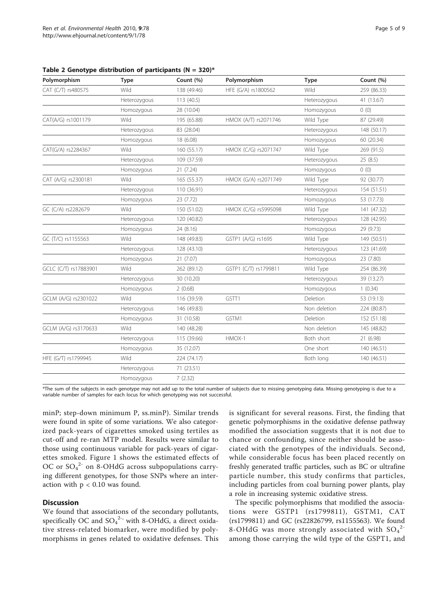| Polymorphism          | Type         | Count (%)   | Polymorphism          | <b>Type</b>  | Count (%)   |
|-----------------------|--------------|-------------|-----------------------|--------------|-------------|
| CAT (C/T) rs480575    | Wild         | 138 (49.46) | HFE (G/A) rs1800562   | Wild         | 259 (86.33) |
|                       | Heterozygous | 113 (40.5)  |                       | Heterozygous | 41 (13.67)  |
|                       | Homozygous   | 28 (10.04)  |                       | Homozygous   | 0(0)        |
| CAT(A/G) rs1001179    | Wild         | 195 (65.88) | HMOX (A/T) rs2071746  | Wild Type    | 87 (29.49)  |
|                       | Heterozygous | 83 (28.04)  |                       | Heterozygous | 148 (50.17) |
|                       | Homozygous   | 18 (6.08)   |                       | Homozygous   | 60 (20.34)  |
| CAT(G/A) rs2284367    | Wild         | 160 (55.17) | HMOX (C/G) rs2071747  | Wild Type    | 269 (91.5)  |
|                       | Heterozygous | 109 (37.59) |                       | Heterozygous | 25(8.5)     |
|                       | Homozygous   | 21(7.24)    |                       | Homozygous   | 0(0)        |
| CAT (A/G) rs2300181   | Wild         | 165 (55.37) | HMOX (G/A) rs2071749  | Wild Type    | 92 (30.77)  |
|                       | Heterozygous | 110 (36.91) |                       | Heterozygous | 154 (51.51) |
|                       | Homozygous   | 23 (7.72)   |                       | Homozygous   | 53 (17.73)  |
| GC (C/A) rs2282679    | Wild         | 150 (51.02) | HMOX (C/G) rs5995098  | Wild Type    | 141 (47.32) |
|                       | Heterozygous | 120 (40.82) |                       | Heterozygous | 128 (42.95) |
|                       | Homozygous   | 24 (8.16)   |                       | Homozygous   | 29 (9.73)   |
| GC (T/C) rs1155563    | Wild         | 148 (49.83) | GSTP1 (A/G) rs1695    | Wild Type    | 149 (50.51) |
|                       | Heterozygous | 128 (43.10) |                       | Heterozygous | 123 (41.69) |
|                       | Homozygous   | 21(7.07)    |                       | Homozygous   | 23 (7.80)   |
| GCLC (C/T) rs17883901 | Wild         | 262 (89.12) | GSTP1 (C/T) rs1799811 | Wild Type    | 254 (86.39) |
|                       | Heterozygous | 30 (10.20)  |                       | Heterozygous | 39 (13.27)  |
|                       | Homozygous   | 2(0.68)     |                       | Homozygous   | 1(0.34)     |
| GCLM (A/G) rs2301022  | Wild         | 116 (39.59) | GSTT1                 | Deletion     | 53 (19.13)  |
|                       | Heterozygous | 146 (49.83) |                       | Non deletion | 224 (80.87) |
|                       | Homozygous   | 31 (10.58)  | GSTM1                 | Deletion     | 152 (51.18) |
| GCLM (A/G) rs3170633  | Wild         | 140 (48.28) |                       | Non deletion | 145 (48.82) |
|                       | Heterozygous | 115 (39.66) | HMOX-1                | Both short   | 21 (6.98)   |
|                       | Homozygous   | 35 (12.07)  |                       | One short    | 140 (46.51) |
| HFE (G/T) rs1799945   | <b>Wild</b>  | 224 (74.17) |                       | Both long    | 140 (46.51) |
|                       | Heterozygous | 71 (23.51)  |                       |              |             |
|                       | Homozygous   | 7(2.32)     |                       |              |             |

<span id="page-4-0"></span>Table 2 Genotype distribution of participants ( $N = 320$ )\*

\*The sum of the subjects in each genotype may not add up to the total number of subjects due to missing genotyping data. Missing genotyping is due to a variable number of samples for each locus for which genotyping was not successful.

minP; step-down minimum P, ss.minP). Similar trends were found in spite of some variations. We also categorized pack-years of cigarettes smoked using tertiles as cut-off and re-ran MTP model. Results were similar to those using continuous variable for pack-years of cigarettes smoked. Figure [1](#page-5-0) shows the estimated effects of OC or  $SO_4^2$  on 8-OHdG across subpopulations carrying different genotypes, for those SNPs where an interaction with  $p < 0.10$  was found.

## **Discussion**

We found that associations of the secondary pollutants, specifically OC and  $SO_4^{2-}$ , with 8-OHdG, a direct oxidative stress-related biomarker, were modified by polymorphisms in genes related to oxidative defenses. This is significant for several reasons. First, the finding that genetic polymorphisms in the oxidative defense pathway modified the association suggests that it is not due to chance or confounding, since neither should be associated with the genotypes of the individuals. Second, while considerable focus has been placed recently on freshly generated traffic particles, such as BC or ultrafine particle number, this study confirms that particles, including particles from coal burning power plants, play a role in increasing systemic oxidative stress.

The specific polymorphisms that modified the associations were GSTP1 (rs1799811), GSTM1, CAT (rs1799811) and GC (rs22826799, rs1155563). We found 8-OHdG was more strongly associated with  $SO_4^2$ among those carrying the wild type of the GSPT1, and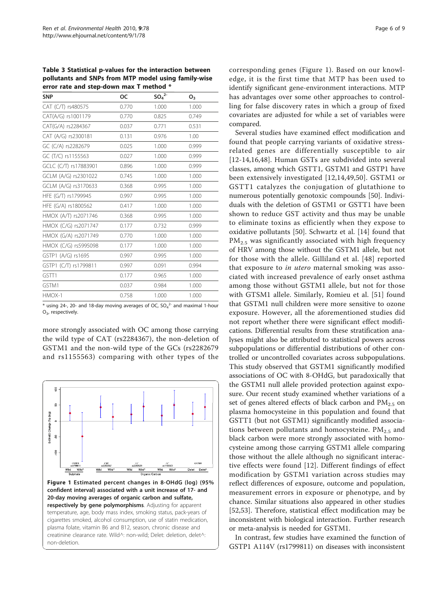<span id="page-5-0"></span>Table 3 Statistical p-values for the interaction between pollutants and SNPs from MTP model using family-wise error rate and step-down max T method \*

| <b>SNP</b>            | OС    | $SO_4^2$ | О,    |
|-----------------------|-------|----------|-------|
| CAT (C/T) rs480575    | 0.770 | 1.000    | 1.000 |
| CAT(A/G) rs1001179    | 0.770 | 0.825    | 0.749 |
| CAT(G/A) rs2284367    | 0.037 | 0.771    | 0.531 |
| CAT (A/G) rs2300181   | 0.131 | 0.976    | 1.00  |
| GC (C/A) rs2282679    | 0.025 | 1.000    | 0.999 |
| GC (T/C) rs1155563    | 0.027 | 1.000    | 0.999 |
| GCLC (C/T) rs17883901 | 0.896 | 1.000    | 0.999 |
| GCLM (A/G) rs2301022  | 0.745 | 1.000    | 1.000 |
| GCLM (A/G) rs3170633  | 0.368 | 0.995    | 1.000 |
| HFE (G/T) rs1799945   | 0.997 | 0.995    | 1.000 |
| HFE (G/A) rs1800562   | 0.417 | 1.000    | 1.000 |
| HMOX (A/T) rs2071746  | 0.368 | 0.995    | 1.000 |
| HMOX (C/G) rs2071747  | 0.177 | 0.732    | 0.999 |
| HMOX (G/A) rs2071749  | 0.770 | 1.000    | 1.000 |
| HMOX (C/G) rs5995098  | 0.177 | 1.000    | 1.000 |
| GSTP1 (A/G) rs1695    | 0.997 | 0.995    | 1.000 |
| GSTP1 (C/T) rs1799811 | 0.997 | 0.091    | 0.994 |
| GSTT1                 | 0.177 | 0.965    | 1.000 |
| GSTM1                 | 0.037 | 0.984    | 1.000 |
| $HMOX-1$              | 0.758 | 1.000    | 1.000 |

 $*$  using 24-, 20- and 18-day moving averages of OC, SO $_4$ <sup>2-</sup> and maximal 1-hour O3, respectively.

more strongly associated with OC among those carrying the wild type of CAT (rs2284367), the non-deletion of GSTM1 and the non-wild type of the GCs (rs2282679 and rs1155563) comparing with other types of the



corresponding genes (Figure 1). Based on our knowledge, it is the first time that MTP has been used to identify significant gene-environment interactions. MTP has advantages over some other approaches to controlling for false discovery rates in which a group of fixed covariates are adjusted for while a set of variables were compared.

Several studies have examined effect modification and found that people carrying variants of oxidative stressrelated genes are differentially susceptible to air [[12-14,16,](#page-7-0)[48](#page-8-0)]. Human GSTs are subdivided into several classes, among which GSTT1, GSTM1 and GSTP1 have been extensively investigated [[12,14](#page-7-0),[49,50](#page-8-0)]. GSTM1 or GSTT1 catalyzes the conjugation of glutathione to numerous potentially genotoxic compounds [[50\]](#page-8-0). Individuals with the deletion of GSTM1 or GSTT1 have been shown to reduce GST activity and thus may be unable to eliminate toxins as efficiently when they expose to oxidative pollutants [[50](#page-8-0)]. Schwartz et al. [[14](#page-7-0)] found that PM<sub>2.5</sub> was significantly associated with high frequency of HRV among those without the GSTM1 allele, but not for those with the allele. Gilliland et al. [[48\]](#page-8-0) reported that exposure to in utero maternal smoking was associated with increased prevalence of early onset asthma among those without GSTM1 allele, but not for those with GTSM1 allele. Similarly, Romieu et al. [\[51](#page-8-0)] found that GSTM1 null children were more sensitive to ozone exposure. However, all the aforementioned studies did not report whether there were significant effect modifications. Differential results from these stratification analyses might also be attributed to statistical powers across subpopulations or differential distributions of other controlled or uncontrolled covariates across subpopulations. This study observed that GSTM1 significantly modified associations of OC with 8-OHdG, but paradoxically that the GSTM1 null allele provided protection against exposure. Our recent study examined whether variations of a set of genes altered effects of black carbon and PM<sub>2.5</sub> on plasma homocysteine in this population and found that GSTT1 (but not GSTM1) significantly modified associations between pollutants and homocysteine.  $PM_{2.5}$  and black carbon were more strongly associated with homocysteine among those carrying GSTM1 allele comparing those without the allele although no significant interactive effects were found [[12\]](#page-7-0). Different findings of effect modification by GSTM1 variation across studies may reflect differences of exposure, outcome and population, measurement errors in exposure or phenotype, and by chance. Similar situations also appeared in other studies [[52,53](#page-8-0)]. Therefore, statistical effect modification may be inconsistent with biological interaction. Further research or meta-analysis is needed for GSTM1.

In contrast, few studies have examined the function of GSTP1 A114V (rs1799811) on diseases with inconsistent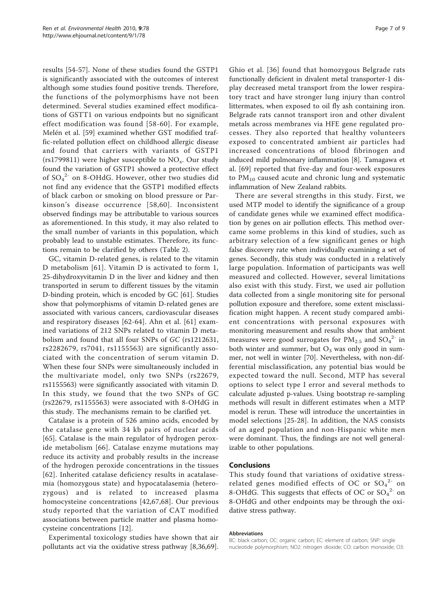results [\[54](#page-8-0)-[57\]](#page-8-0). None of these studies found the GSTP1 is significantly associated with the outcomes of interest although some studies found positive trends. Therefore, the functions of the polymorphisms have not been determined. Several studies examined effect modifications of GSTT1 on various endpoints but no significant effect modification was found [[58-60](#page-8-0)]. For example, Melén et al. [\[59](#page-8-0)] examined whether GST modified traffic-related pollution effect on childhood allergic disease and found that carriers with variants of GSTP1 (rs1799811) were higher susceptible to  $NO<sub>x</sub>$ . Our study found the variation of GSTP1 showed a protective effect of  ${SO_4}^{2-}$  on 8-OHdG. However, other two studies did not find any evidence that the GSTP1 modified effects of black carbon or smoking on blood pressure or Parkinson's disease occurrence [[58](#page-8-0),[60\]](#page-8-0). Inconsistent observed findings may be attributable to various sources as aforementioned. In this study, it may also related to the small number of variants in this population, which probably lead to unstable estimates. Therefore, its functions remain to be clarified by others (Table [2\)](#page-4-0).

GC, vitamin D-related genes, is related to the vitamin D metabolism [[61](#page-8-0)]. Vitamin D is activated to form 1, 25-dihydroxyvitamin D in the liver and kidney and then transported in serum to different tissues by the vitamin D-binding protein, which is encoded by GC [\[61\]](#page-8-0). Studies show that polymorphisms of vitamin D-related genes are associated with various cancers, cardiovascular diseases and respiratory diseases [\[62](#page-8-0)-[64](#page-8-0)]. Ahn et al. [[61\]](#page-8-0) examined variations of 212 SNPs related to vitamin D metabolism and found that all four SNPs of GC (rs1212631, rs2282679, rs7041, rs1155563) are significantly associated with the concentration of serum vitamin D. When these four SNPs were simultaneously included in the multivariate model, only two SNPs (rs22679, rs1155563) were significantly associated with vitamin D. In this study, we found that the two SNPs of GC (rs22679, rs1155563) were associated with 8-OHdG in this study. The mechanisms remain to be clarified yet.

Catalase is a protein of 526 amino acids, encoded by the catalase gene with 34 kb pairs of nuclear acids [[65\]](#page-8-0). Catalase is the main regulator of hydrogen peroxide metabolism [\[66\]](#page-8-0). Catalase enzyme mutations may reduce its activity and probably results in the increase of the hydrogen peroxide concentrations in the tissues [[62](#page-8-0)]. Inherited catalase deficiency results in acatalasemia (homozygous state) and hypocatalasemia (heterozygous) and is related to increased plasma homocysteine concentrations [[42](#page-8-0),[67,68](#page-8-0)]. Our previous study reported that the variation of CAT modified associations between particle matter and plasma homocysteine concentrations [\[12](#page-7-0)].

Experimental toxicology studies have shown that air pollutants act via the oxidative stress pathway [[8,](#page-7-0)[36,69](#page-8-0)].

Ghio et al. [[36](#page-8-0)] found that homozygous Belgrade rats functionally deficient in divalent metal transporter-1 display decreased metal transport from the lower respiratory tract and have stronger lung injury than control littermates, when exposed to oil fly ash containing iron. Belgrade rats cannot transport iron and other divalent metals across membranes via HFE gene regulated processes. They also reported that healthy volunteers exposed to concentrated ambient air particles had increased concentrations of blood fibrinogen and induced mild pulmonary inflammation [[8](#page-7-0)]. Tamagawa et al. [[69\]](#page-8-0) reported that five-day and four-week exposures to  $PM_{10}$  caused acute and chronic lung and systematic inflammation of New Zealand rabbits.

There are several strengths in this study. First, we used MTP model to identify the significance of a group of candidate genes while we examined effect modification by genes on air pollution effects. This method overcame some problems in this kind of studies, such as arbitrary selection of a few significant genes or high false discovery rate when individually examining a set of genes. Secondly, this study was conducted in a relatively large population. Information of participants was well measured and collected. However, several limitations also exist with this study. First, we used air pollution data collected from a single monitoring site for personal pollution exposure and therefore, some extent misclassification might happen. A recent study compared ambient concentrations with personal exposures with monitoring measurement and results show that ambient measures were good surrogates for  $PM_{2.5}$  and  $SO_4^2$  in both winter and summer, but  $O_3$  was only good in summer, not well in winter [\[70](#page-8-0)]. Nevertheless, with non-differential misclassification, any potential bias would be expected toward the null. Second, MTP has several options to select type I error and several methods to calculate adjusted p-values. Using bootstrap re-sampling methods will result in different estimates when a MTP model is rerun. These will introduce the uncertainties in model selections [\[25](#page-7-0)-[28\]](#page-7-0). In addition, the NAS consists of an aged population and non-Hispanic white men were dominant. Thus, the findings are not well generalizable to other populations.

### Conclusions

This study found that variations of oxidative stressrelated genes modified effects of OC or  $SO_4^2$  on 8-OHdG. This suggests that effects of OC or  $SO_4^2$  on 8-OHdG and other endpoints may be through the oxidative stress pathway.

#### Abbreviations

BC: black carbon; OC: organic carbon; EC: element of carbon; SNP: single nucleotide polymorphism; NO2: nitrogen dioxide; CO: carbon monoxide; O3: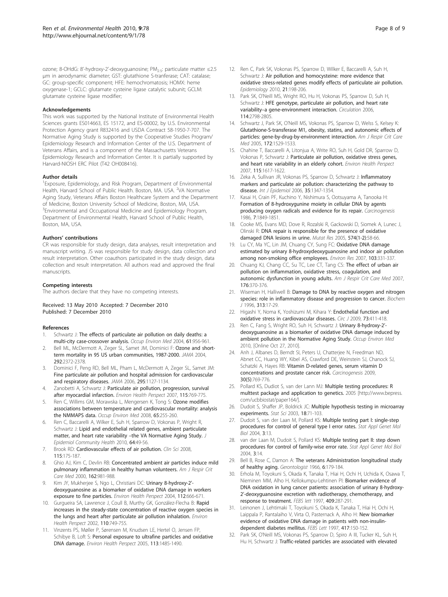<span id="page-7-0"></span>ozone; 8-OHdG: 8'-hydroxy-2'-deoxyguanosine; PM<sub>2.5</sub>: particulate matter ≤2.5 μm in aerodynamic diameter; GST: glutathione S-tranferase; CAT: catalase; GC: group-specific component; HFE: hemochromatosis; HOMX: heme oxygenase-1; GCLC: glutamate cysteine ligase catalytic subunit; GCLM: glutamate cysteine ligase modifier;

#### Acknowledgements

This work was supported by the National Institute of Environmental Health Sciences grants ES014663, ES 15172, and ES-00002, by U.S. Environmental Protection Agency grant R832416 and USDA Contract 58-1950-7-707. The Normative Aging Study is supported by the Cooperative Studies Program/ Epidemiology Research and Information Center of the U.S. Department of Veterans Affairs, and is a component of the Massachusetts Veterans Epidemiology Research and Information Center. It is partially supported by Harvard-NIOSH ERC Pilot (T42 OH008416).

#### Author details

<sup>1</sup> Exposure, Epidemiology, and Risk Program, Department of Environmental Health, Harvard School of Public Health. Boston, MA. USA. <sup>2</sup>VA Normative Aging Study, Veterans Affairs Boston Healthcare System and the Department of Medicine, Boston University School of Medicine, Boston, MA, USA. <sup>3</sup> Environmental and Occupational Medicine and Epidemiology Program, Department of Environmental Health, Harvard School of Public Health, Boston, MA, USA.

#### Authors' contributions

CR was responsible for study design, data analyses, result interpretation and manuscript writing. JS was responsible for study design, data collection and result interpretation. Other coauthors participated in the study design, data collection and result interpretation. All authors read and approved the final manuscripts.

#### Competing interests

The authors declare that they have no competing interests.

#### Received: 13 May 2010 Accepted: 7 December 2010 Published: 7 December 2010

#### References

- 1. Schwartz J: [The effects of particulate air pollution on daily deaths: a](http://www.ncbi.nlm.nih.gov/pubmed/15550600?dopt=Abstract) [multi-city case-crossover analysis.](http://www.ncbi.nlm.nih.gov/pubmed/15550600?dopt=Abstract) Occup Environ Med 2004, 61:956-961.
- Bell ML, McDermott A, Zeger SL, Samet JM, Dominici F: [Ozone and short](http://www.ncbi.nlm.nih.gov/pubmed/15547165?dopt=Abstract)[term mortality in 95 US urban communities, 1987-2000.](http://www.ncbi.nlm.nih.gov/pubmed/15547165?dopt=Abstract) JAMA 2004, 292:2372-2378.
- 3. Dominici F, Peng RD, Bell ML, Pham L, McDermott A, Zeger SL, Samet JM: [Fine particulate air pollution and hospital admission for cardiovascular](http://www.ncbi.nlm.nih.gov/pubmed/16522832?dopt=Abstract) [and respiratory diseases.](http://www.ncbi.nlm.nih.gov/pubmed/16522832?dopt=Abstract) JAMA 2006, 295:1127-1134.
- 4. Zanobetti A, Schwartz J: [Particulate air pollution, progression, survival](http://www.ncbi.nlm.nih.gov/pubmed/17520066?dopt=Abstract) [after myocardial infarction.](http://www.ncbi.nlm.nih.gov/pubmed/17520066?dopt=Abstract) Environ Health Perspect 2007, 115:769-775.
- Ren C, Willims GM, Morawska L, Mengersen K, Tong S: [Ozone modifies](http://www.ncbi.nlm.nih.gov/pubmed/17890300?dopt=Abstract) [associations between temperature and cardiovascular mortality: analysis](http://www.ncbi.nlm.nih.gov/pubmed/17890300?dopt=Abstract) [the NMMAPS data.](http://www.ncbi.nlm.nih.gov/pubmed/17890300?dopt=Abstract) Occup Environ Med 2008, 65:255-260.
- 6. Ren C, Baccarelli A, Wilker E, Suh H, Sparrow D, Vokonas P, Wright R, Schwartz J: [Lipid and endothelial related genes, ambient particulate](http://www.ncbi.nlm.nih.gov/pubmed/19602472?dopt=Abstract) [matter, and heart rate variability](http://www.ncbi.nlm.nih.gov/pubmed/19602472?dopt=Abstract) –the VA Normative Aging Study. J Epidemiol Community Health 2010, 64:49-56.
- 7. Brook RD: [Cardiovascular effects of air pollution.](http://www.ncbi.nlm.nih.gov/pubmed/18691154?dopt=Abstract) Clin Sci 2008, 115:175-187.
- 8. Ghio AJ, Kim C, Devlin RB: [Concentrated ambient air particles induce mild](http://www.ncbi.nlm.nih.gov/pubmed/10988117?dopt=Abstract) [pulmonary inflammation in healthy human volunteers.](http://www.ncbi.nlm.nih.gov/pubmed/10988117?dopt=Abstract) Am J Respir Crit Care Med 2000, 162:981-988.
- Kim JY, Mukherjee S, Ngo L, Christiani DC: [Urinary 8-hydroxy-2](http://www.ncbi.nlm.nih.gov/pubmed/15121508?dopt=Abstract)'[deoxyguanosine as a biomarker of oxidative DNA damage in workers](http://www.ncbi.nlm.nih.gov/pubmed/15121508?dopt=Abstract) [exposure to fine particles.](http://www.ncbi.nlm.nih.gov/pubmed/15121508?dopt=Abstract) Environ Health Perspect 2004, 112:666-671.
- 10. Gurgueira SA, Lawrence J, Coull B, Murthy GK, González-Flecha B: [Rapid](http://www.ncbi.nlm.nih.gov/pubmed/12153754?dopt=Abstract) [increases in the steady-state concentration of reactive oxygen species in](http://www.ncbi.nlm.nih.gov/pubmed/12153754?dopt=Abstract) [the lungs and heart after particulate air pollution inhalation.](http://www.ncbi.nlm.nih.gov/pubmed/12153754?dopt=Abstract) Environ Health Perspect 2002, 110:749-755.
- 11. Vinzents PS, Møller P, Sørensen M, Knudsen LE, Hertel O, Jensen FP, Schibye B, Loft S: [Personal exposure to ultrafine particles and oxidative](http://www.ncbi.nlm.nih.gov/pubmed/16263500?dopt=Abstract) [DNA damage.](http://www.ncbi.nlm.nih.gov/pubmed/16263500?dopt=Abstract) Environ Health Perspect 2005, 113:1485-1490.
- 12. Ren C, Park SK, Vokonas PS, Sparrow D, Wilker E, Baccarelli A, Suh H, Schwartz J: [Air pollution and homocysteine: more evidence that](http://www.ncbi.nlm.nih.gov/pubmed/20110814?dopt=Abstract) [oxidative stress-related genes modify effects of particulate air pollution.](http://www.ncbi.nlm.nih.gov/pubmed/20110814?dopt=Abstract) Epidemiology 2010, 21:198-206.
- 13. Park SK, O'Neill MS, Wright RO, Hu H, Vokonas PS, Sparrow D, Suh H, Schwartz J: [HFE genotype, particulate air pollution, and heart rate](http://www.ncbi.nlm.nih.gov/pubmed/17145987?dopt=Abstract) variability–[a gene-environment interaction.](http://www.ncbi.nlm.nih.gov/pubmed/17145987?dopt=Abstract) Circulation 2006, 114:2798-2805.
- 14. Schwartz J, Park SK, O'Neill MS, Vokonas PS, Sparrow D, Welss S, Kelsey K: [Glutathione-S-transferase M1, obesity, statins, and autonomic effects of](http://www.ncbi.nlm.nih.gov/pubmed/16020798?dopt=Abstract) [particles: gene-by-drug-by-environment interaction.](http://www.ncbi.nlm.nih.gov/pubmed/16020798?dopt=Abstract) Am J Respir Crit Care Med 2005, 172:1529-1533.
- 15. Chahine T, Baccarelli A, Litonjua A, Write RO, Suh H, Gold DR, Sparrow D, Vokonas P, Schwartz J: [Particulate air pollution, oxidative stress genes,](http://www.ncbi.nlm.nih.gov/pubmed/18007994?dopt=Abstract) [and heart rate variability in an elderly cohort.](http://www.ncbi.nlm.nih.gov/pubmed/18007994?dopt=Abstract) Environ Health Perspect 2007, 115:1617-1622.
- 16. Zeka A, Sullivan JR, Vokonas PS, Sparrow D, Schwartz J: [Inflammatory](http://www.ncbi.nlm.nih.gov/pubmed/16844771?dopt=Abstract) [markers and particulate air pollution: characterizing the pathway to](http://www.ncbi.nlm.nih.gov/pubmed/16844771?dopt=Abstract) [disease.](http://www.ncbi.nlm.nih.gov/pubmed/16844771?dopt=Abstract) Int J Epidemiol 2006, 35:1347-1354.
- 17. Kasai H, Crain PF, Kuchino Y, Nishimura S, Ootsuyama A, Tanooka H: [Formation of 8-hydroxygunine moiety in cellular DNA by agents](http://www.ncbi.nlm.nih.gov/pubmed/3769133?dopt=Abstract) [producing oxygen radicals and evidence for its repair.](http://www.ncbi.nlm.nih.gov/pubmed/3769133?dopt=Abstract) Carcinogenesis 1986, 7:1849-1851.
- 18. Cooke MS, Evans MD, Dove R, Rozalski R, Gackowski D, Siomek A, Lunec J, Olinski R: [DNA repair is responsible for the presence of oxidative](http://www.ncbi.nlm.nih.gov/pubmed/15914207?dopt=Abstract) [damaged DNA lesions in urine.](http://www.ncbi.nlm.nih.gov/pubmed/15914207?dopt=Abstract) Mutat Res 2005, 574(1-2):58-66.
- 19. Lu CY, Ma YC, Lin JM, Chuang CY, Sung FC: [Oxidative DNA damage](http://www.ncbi.nlm.nih.gov/pubmed/17034784?dopt=Abstract) [estimated by urinary 8-hydroxydeoxyguanosine and indoor air pollution](http://www.ncbi.nlm.nih.gov/pubmed/17034784?dopt=Abstract) [among non-smoking office employees.](http://www.ncbi.nlm.nih.gov/pubmed/17034784?dopt=Abstract) Environ Res 2007, 103:331-337.
- 20. Chuang KJ, Chang CC, Su TC, Lee CT, Tang CS: [The effect of urban air](http://www.ncbi.nlm.nih.gov/pubmed/17463411?dopt=Abstract) [pollution on inflammation, oxidative stress, coagulation, and](http://www.ncbi.nlm.nih.gov/pubmed/17463411?dopt=Abstract) [autonomic dysfunction in young adults.](http://www.ncbi.nlm.nih.gov/pubmed/17463411?dopt=Abstract) Am J Respir Crit Care Med 2007, 176:370-376.
- 21. Wiseman H, Halliwell B: [Damage to DNA by reactive oxygen and nitrogen](http://www.ncbi.nlm.nih.gov/pubmed/8546679?dopt=Abstract) [species: role in inflammatory disease and progression to cancer.](http://www.ncbi.nlm.nih.gov/pubmed/8546679?dopt=Abstract) Biochem J 1996, 313:17-29.
- 22. Higashi Y, Noma K, Yoshizumi M, Kihara Y: [Endothelial function and](http://www.ncbi.nlm.nih.gov/pubmed/19194043?dopt=Abstract) [oxidative stress in cardiovascular diseases.](http://www.ncbi.nlm.nih.gov/pubmed/19194043?dopt=Abstract) Circ J 2009, 73:411-418.
- 23. Ren C, Fang S, Wright RO, Suh H, Schwartz J: [Urinary 8-hydroxy-2](http://www.ncbi.nlm.nih.gov/pubmed/20980452?dopt=Abstract)'[deoxyguanosine as a biomarker of oxidative DNA damage induced by](http://www.ncbi.nlm.nih.gov/pubmed/20980452?dopt=Abstract) [ambient pollution in the Normative Aging Study.](http://www.ncbi.nlm.nih.gov/pubmed/20980452?dopt=Abstract) Occup Environ Med 2010, [Online Oct 27, 2010].
- 24. Anh J, Albanes D, Berndt SI, Peters U, Chatterjee N, Freedman ND, Abnet CC, Huang WY, Kibel AS, Crawford DE, Weinstein SJ, Chanock SJ, Schatzki A, Hayes RB: [Vitamin D-related genes, serum vitamin D](http://www.ncbi.nlm.nih.gov/pubmed/19255064?dopt=Abstract) [concentrations and prostate cancer risk.](http://www.ncbi.nlm.nih.gov/pubmed/19255064?dopt=Abstract) Carcinogenesis 2009, 30(5):769-776.
- 25. Pollard KS, Dudiot S, van der Lann MJ: [Multiple testing procedures: R](http://www.ncbi.nlm.nih.gov/pubmed/15693941?dopt=Abstract) [multtest package and application to genetics.](http://www.ncbi.nlm.nih.gov/pubmed/15693941?dopt=Abstract) 2005 [[http://www.bepress.](http://www.bepress.com/ucbbiostat/paper164/) [com/ucbbiostat/paper164/\]](http://www.bepress.com/ucbbiostat/paper164/).
- 26. Dudoit S, Shaffer JP, Boldrick JC: Multiple hypothesis testing in microarray experiments. Stat Sci 2003, 18:71-103.
- 27. Dudoit S, van der Laan M, Pollard KS: Multiple testing part I: single-step procedures for control of general type I error rates. Stat Appl Genet Mol Biol 2004, 3:13.
- 28. van der Laan M, Dudoit S, Pollard KS: Multiple testing part II: step down procedures for control of family-wise error rate. Stat Appl Genet Mol Biol 2004, 3:14.
- 29. Bell B, Rose C, Damon A: [The veterans Administration longitudinal study](http://www.ncbi.nlm.nih.gov/pubmed/5342911?dopt=Abstract) [of healthy aging.](http://www.ncbi.nlm.nih.gov/pubmed/5342911?dopt=Abstract) Gerontologist 1966, 6:179-184.
- 30. Erhola M, Toyokuni S, Okada K, Tanaka T, Hiai H, Ochi H, Uchida K, Osawa T, Nieminen MM, Alho H, Kellokumpu-Lehtinen Pl: [Biomarker evidence of](http://www.ncbi.nlm.nih.gov/pubmed/9202163?dopt=Abstract) [DNA oxidation in lung cancer patients: association of urinary 8-hydroxy-](http://www.ncbi.nlm.nih.gov/pubmed/9202163?dopt=Abstract)2'[-deoxyguanosine excretion with radiotherapy, chemotherapy, and](http://www.ncbi.nlm.nih.gov/pubmed/9202163?dopt=Abstract) [response to treatment.](http://www.ncbi.nlm.nih.gov/pubmed/9202163?dopt=Abstract) FEBS lett 1997, 409:287-291.
- 31. Leinonen J, Lehtimaki T, Toyokuni S, Okada K, Tanaka T, Hiai H, Ochi H, Laippala P, Rantalaiho V, Virta O, Pasternack A, Alho H: [New biomarker](http://www.ncbi.nlm.nih.gov/pubmed/9395094?dopt=Abstract) [evidence of oxidative DNA damage in patients with non-insulin](http://www.ncbi.nlm.nih.gov/pubmed/9395094?dopt=Abstract)[dependent diabetes mellitus.](http://www.ncbi.nlm.nih.gov/pubmed/9395094?dopt=Abstract) FEBS Lett 1997, 417:150-152.
- 32. Park SK, O'Neill MS, Vokonas PS, Sparrow D, Spiro A III, Tucker KL, Suh H, Hu H, Schwartz J: [Traffic-related particles are associated with elevated](http://www.ncbi.nlm.nih.gov/pubmed/18467508?dopt=Abstract)